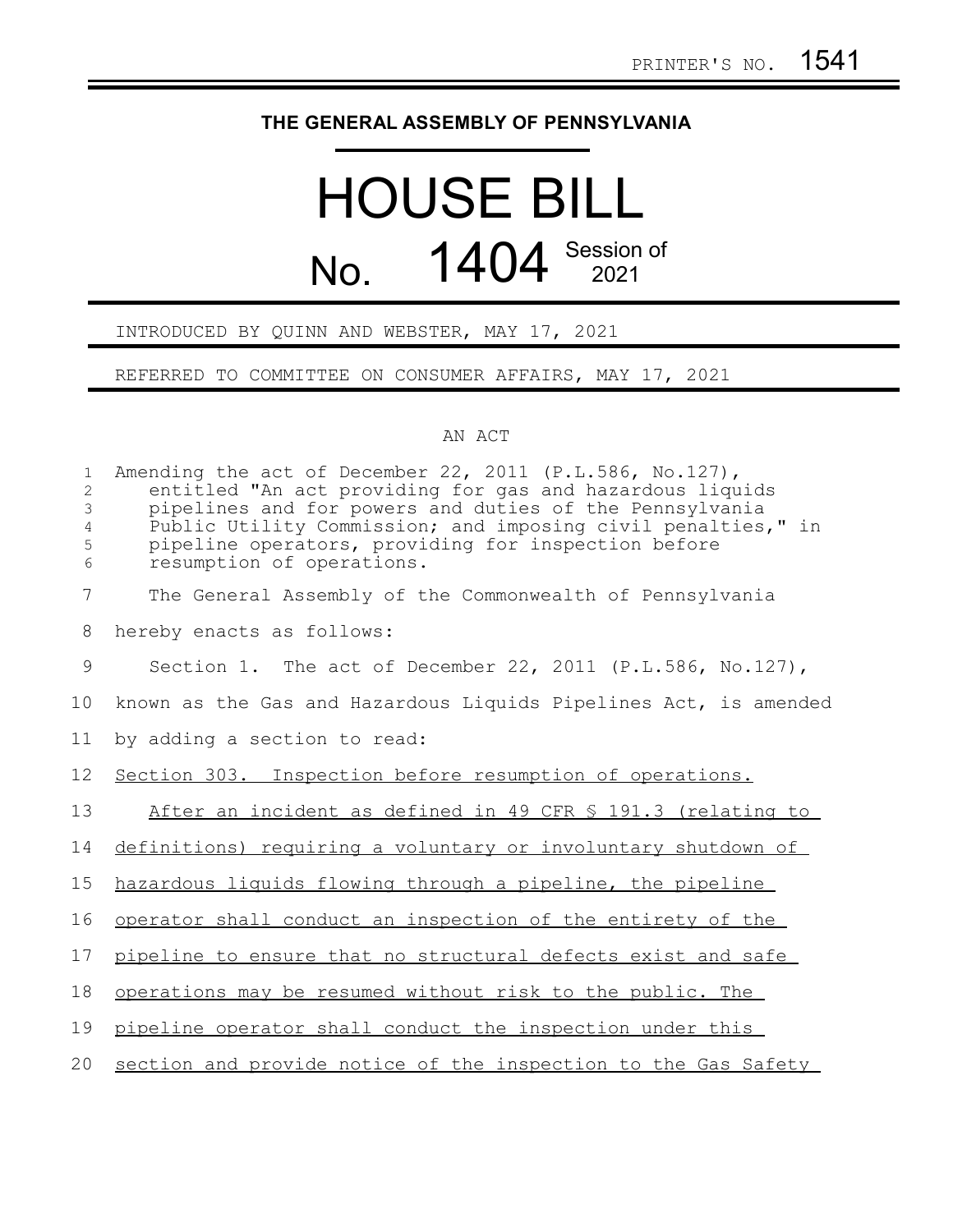## **THE GENERAL ASSEMBLY OF PENNSYLVANIA**

## HOUSE BILL No. 1404 Session of

## INTRODUCED BY QUINN AND WEBSTER, MAY 17, 2021

REFERRED TO COMMITTEE ON CONSUMER AFFAIRS, MAY 17, 2021

## AN ACT

| $\mathbf{1}$<br>$\overline{c}$<br>3<br>4<br>5<br>6 | Amending the act of December 22, 2011 (P.L.586, No.127),<br>entitled "An act providing for gas and hazardous liquids<br>pipelines and for powers and duties of the Pennsylvania<br>Public Utility Commission; and imposing civil penalties," in<br>pipeline operators, providing for inspection before<br>resumption of operations. |
|----------------------------------------------------|-------------------------------------------------------------------------------------------------------------------------------------------------------------------------------------------------------------------------------------------------------------------------------------------------------------------------------------|
| $\overline{7}$                                     | The General Assembly of the Commonwealth of Pennsylvania                                                                                                                                                                                                                                                                            |
| 8                                                  | hereby enacts as follows:                                                                                                                                                                                                                                                                                                           |
| 9                                                  | Section 1. The act of December 22, 2011 (P.L.586, No.127),                                                                                                                                                                                                                                                                          |
| 10                                                 | known as the Gas and Hazardous Liquids Pipelines Act, is amended                                                                                                                                                                                                                                                                    |
| 11                                                 | by adding a section to read:                                                                                                                                                                                                                                                                                                        |
| 12                                                 | Section 303. Inspection before resumption of operations.                                                                                                                                                                                                                                                                            |
| 13                                                 | After an incident as defined in 49 CFR § 191.3 (relating to                                                                                                                                                                                                                                                                         |
| 14                                                 | definitions) requiring a voluntary or involuntary shutdown of                                                                                                                                                                                                                                                                       |
| 15                                                 | hazardous liquids flowing through a pipeline, the pipeline                                                                                                                                                                                                                                                                          |
| 16                                                 | operator shall conduct an inspection of the entirety of the                                                                                                                                                                                                                                                                         |
| 17                                                 | pipeline to ensure that no structural defects exist and safe                                                                                                                                                                                                                                                                        |
| 18                                                 | operations may be resumed without risk to the public. The                                                                                                                                                                                                                                                                           |
| 19                                                 | pipeline operator shall conduct the inspection under this                                                                                                                                                                                                                                                                           |
| 20                                                 | section and provide notice of the inspection to the Gas Safety                                                                                                                                                                                                                                                                      |